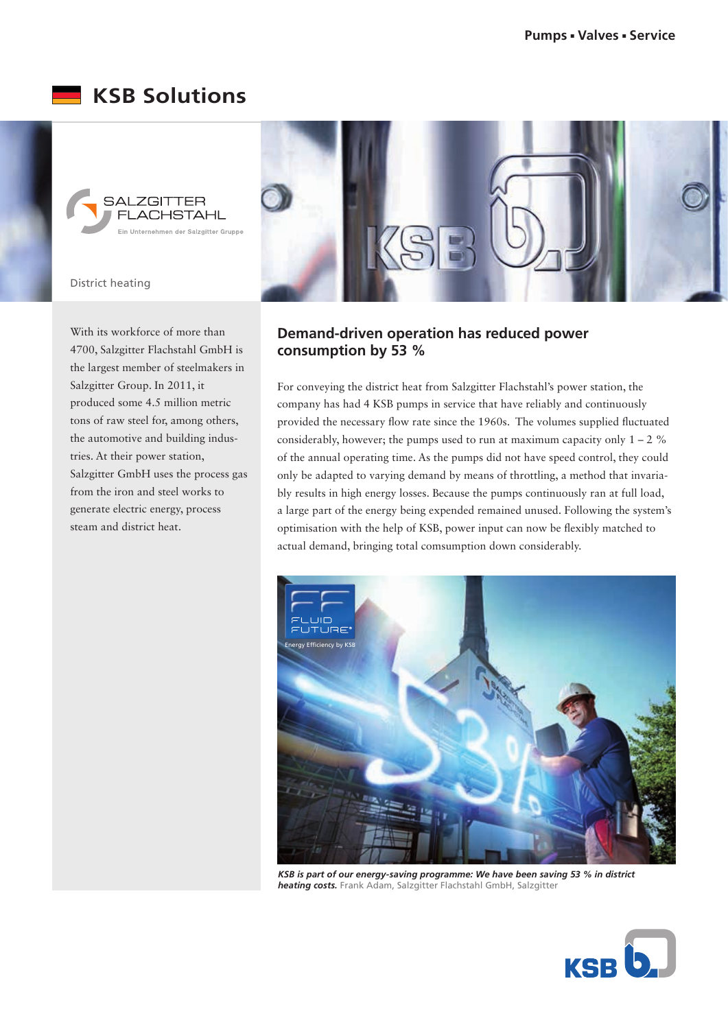## **KSB Solutions**



District heating

With its workforce of more than 4700, Salzgitter Flachstahl GmbH is the largest member of steelmakers in Salzgitter Group. In 2011, it produced some 4.5 million metric tons of raw steel for, among others, the automotive and building industries. At their power station, Salzgitter GmbH uses the process gas from the iron and steel works to generate electric energy, process steam and district heat.



## **Demand-driven operation has reduced power consumption by 53 %**

For conveying the district heat from Salzgitter Flachstahl's power station, the company has had 4 KSB pumps in service that have reliably and continuously provided the necessary flow rate since the 1960s. The volumes supplied fluctuated considerably, however; the pumps used to run at maximum capacity only  $1 - 2$  % of the annual operating time. As the pumps did not have speed control, they could only be adapted to varying demand by means of throttling, a method that invariably results in high energy losses. Because the pumps continuously ran at full load, a large part of the energy being expended remained unused. Following the system's optimisation with the help of KSB, power input can now be flexibly matched to actual demand, bringing total comsumption down considerably.



*KSB is part of our energy-saving programme: We have been saving 53 % in district heating costs.* Frank Adam, Salzgitter Flachstahl GmbH, Salzgitter